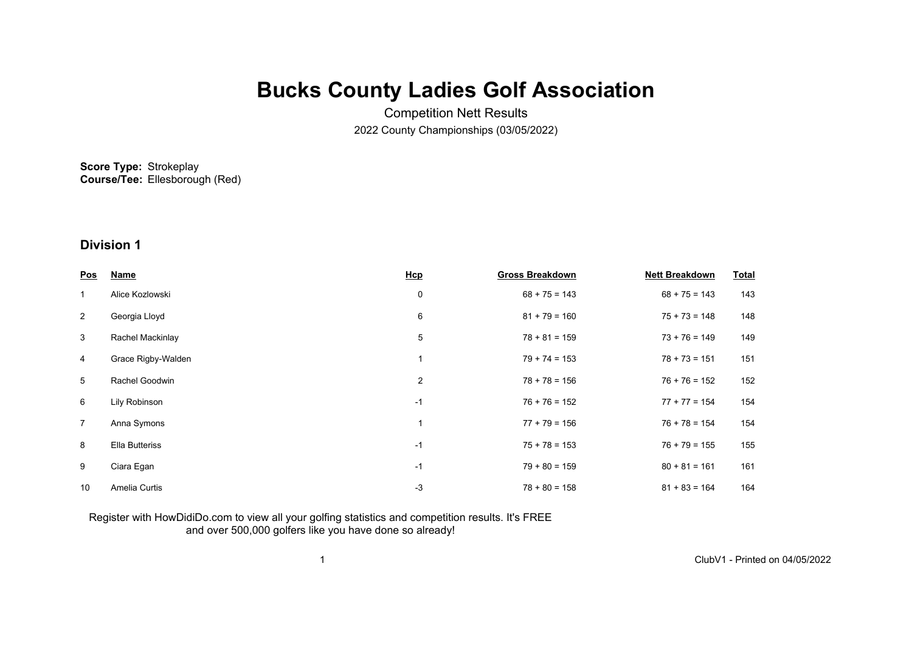# **Bucks County Ladies Golf Association**

Competition Nett Results 2022 County Championships (03/05/2022)

**Score Type:** Strokeplay **Course/Tee:** Ellesborough (Red)

## **Division 1**

| <u>Pos</u>     | <b>Name</b>           | Hcp         | <b>Gross Breakdown</b> | <b>Nett Breakdown</b> | <b>Total</b> |
|----------------|-----------------------|-------------|------------------------|-----------------------|--------------|
| $\mathbf{1}$   | Alice Kozlowski       | 0           | $68 + 75 = 143$        | $68 + 75 = 143$       | 143          |
| $\overline{2}$ | Georgia Lloyd         | 6           | $81 + 79 = 160$        | $75 + 73 = 148$       | 148          |
| $\mathbf{3}$   | Rachel Mackinlay      | 5           | $78 + 81 = 159$        | $73 + 76 = 149$       | 149          |
| 4              | Grace Rigby-Walden    |             | $79 + 74 = 153$        | $78 + 73 = 151$       | 151          |
| 5              | Rachel Goodwin        | 2           | $78 + 78 = 156$        | $76 + 76 = 152$       | 152          |
| 6              | Lily Robinson         | $-1$        | $76 + 76 = 152$        | $77 + 77 = 154$       | 154          |
| $\overline{7}$ | Anna Symons           | $\mathbf 1$ | $77 + 79 = 156$        | $76 + 78 = 154$       | 154          |
| 8              | <b>Ella Butteriss</b> | $-1$        | $75 + 78 = 153$        | $76 + 79 = 155$       | 155          |
| 9              | Ciara Egan            | $-1$        | $79 + 80 = 159$        | $80 + 81 = 161$       | 161          |
| 10             | Amelia Curtis         | -3          | $78 + 80 = 158$        | $81 + 83 = 164$       | 164          |

### Register with HowDidiDo.com to view all your golfing statistics and competition results. It's FREE and over 500,000 golfers like you have done so already!

1 ClubV1 - Printed on 04/05/2022